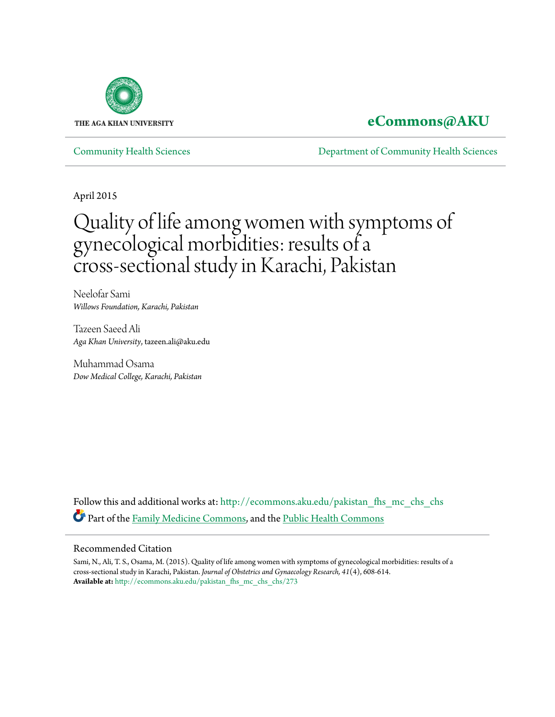

### **[eCommons@AKU](http://ecommons.aku.edu?utm_source=ecommons.aku.edu%2Fpakistan_fhs_mc_chs_chs%2F273&utm_medium=PDF&utm_campaign=PDFCoverPages)**

[Community Health Sciences](http://ecommons.aku.edu/pakistan_fhs_mc_chs_chs?utm_source=ecommons.aku.edu%2Fpakistan_fhs_mc_chs_chs%2F273&utm_medium=PDF&utm_campaign=PDFCoverPages) [Department of Community Health Sciences](http://ecommons.aku.edu/pakistan_fhs_mc_chs?utm_source=ecommons.aku.edu%2Fpakistan_fhs_mc_chs_chs%2F273&utm_medium=PDF&utm_campaign=PDFCoverPages)

April 2015

# Quality of life among women with symptoms of gynecological morbidities: results of a cross‐sectional study in Karachi, Pakistan

Neelofar Sami *Willows Foundation, Karachi, Pakistan*

Tazeen Saeed Ali *Aga Khan University*, tazeen.ali@aku.edu

Muhammad Osama *Dow Medical College, Karachi, Pakistan*

Follow this and additional works at: [http://ecommons.aku.edu/pakistan\\_fhs\\_mc\\_chs\\_chs](http://ecommons.aku.edu/pakistan_fhs_mc_chs_chs?utm_source=ecommons.aku.edu%2Fpakistan_fhs_mc_chs_chs%2F273&utm_medium=PDF&utm_campaign=PDFCoverPages) Part of the [Family Medicine Commons](http://network.bepress.com/hgg/discipline/1354?utm_source=ecommons.aku.edu%2Fpakistan_fhs_mc_chs_chs%2F273&utm_medium=PDF&utm_campaign=PDFCoverPages), and the [Public Health Commons](http://network.bepress.com/hgg/discipline/738?utm_source=ecommons.aku.edu%2Fpakistan_fhs_mc_chs_chs%2F273&utm_medium=PDF&utm_campaign=PDFCoverPages)

#### Recommended Citation

Sami, N., Ali, T. S., Osama, M. (2015). Quality of life among women with symptoms of gynecological morbidities: results of a cross‐sectional study in Karachi, Pakistan. *Journal of Obstetrics and Gynaecology Research, 41*(4), 608-614. **Available at:** [http://ecommons.aku.edu/pakistan\\_fhs\\_mc\\_chs\\_chs/273](http://ecommons.aku.edu/pakistan_fhs_mc_chs_chs/273)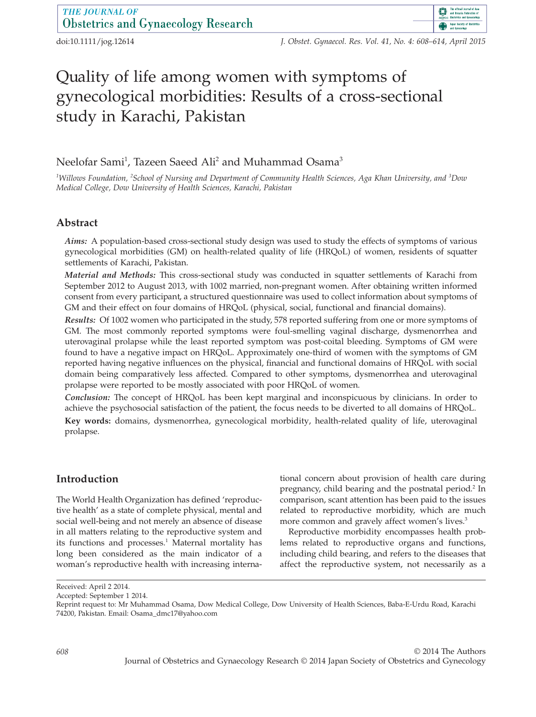The official Journal of Asia<br>and Oceania Federation of<br>AQ FOG Obstetries and Gynaecology

**Expan Society of Obst**<br>and Gynecology

## Quality of life among women with symptoms of gynecological morbidities: Results of a cross-sectional study in Karachi, Pakistan

Neelofar Sami<sup>1</sup>, Tazeen Saeed Ali<sup>2</sup> and Muhammad Osama<sup>3</sup>

*1 Willows Foundation, <sup>2</sup> School of Nursing and Department of Community Health Sciences, Aga Khan University, and <sup>3</sup> Dow Medical College, Dow University of Health Sciences, Karachi, Pakistan*

#### **Abstract**

*Aims:* A population-based cross-sectional study design was used to study the effects of symptoms of various gynecological morbidities (GM) on health-related quality of life (HRQoL) of women, residents of squatter settlements of Karachi, Pakistan.

*Material and Methods:* This cross-sectional study was conducted in squatter settlements of Karachi from September 2012 to August 2013, with 1002 married, non-pregnant women. After obtaining written informed consent from every participant, a structured questionnaire was used to collect information about symptoms of GM and their effect on four domains of HRQoL (physical, social, functional and financial domains).

*Results:* Of 1002 women who participated in the study, 578 reported suffering from one or more symptoms of GM. The most commonly reported symptoms were foul-smelling vaginal discharge, dysmenorrhea and uterovaginal prolapse while the least reported symptom was post-coital bleeding. Symptoms of GM were found to have a negative impact on HRQoL. Approximately one-third of women with the symptoms of GM reported having negative influences on the physical, financial and functional domains of HRQoL with social domain being comparatively less affected. Compared to other symptoms, dysmenorrhea and uterovaginal prolapse were reported to be mostly associated with poor HRQoL of women.

*Conclusion:* The concept of HRQoL has been kept marginal and inconspicuous by clinicians. In order to achieve the psychosocial satisfaction of the patient, the focus needs to be diverted to all domains of HRQoL. **Key words:** domains, dysmenorrhea, gynecological morbidity, health-related quality of life, uterovaginal prolapse.

#### **Introduction**

The World Health Organization has defined 'reproductive health' as a state of complete physical, mental and social well-being and not merely an absence of disease in all matters relating to the reproductive system and its functions and processes.<sup>1</sup> Maternal mortality has long been considered as the main indicator of a woman's reproductive health with increasing interna-

tional concern about provision of health care during pregnancy, child bearing and the postnatal period.<sup>2</sup> In comparison, scant attention has been paid to the issues related to reproductive morbidity, which are much more common and gravely affect women's lives.<sup>3</sup>

Reproductive morbidity encompasses health problems related to reproductive organs and functions, including child bearing, and refers to the diseases that affect the reproductive system, not necessarily as a

Accepted: September 1 2014.

Received: April 2 2014.

Reprint request to: Mr Muhammad Osama, Dow Medical College, Dow University of Health Sciences, Baba-E-Urdu Road, Karachi 74200, Pakistan. Ema[il: Osama\\_dmc17@yahoo.com](mailto:Osama_dmc17@yahoo.com)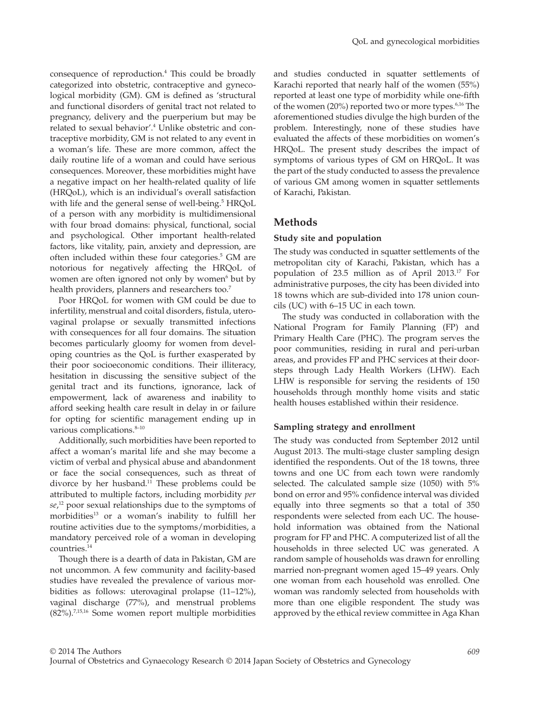consequence of reproduction.4 This could be broadly categorized into obstetric, contraceptive and gynecological morbidity (GM). GM is defined as 'structural and functional disorders of genital tract not related to pregnancy, delivery and the puerperium but may be related to sexual behavior'.<sup>4</sup> Unlike obstetric and contraceptive morbidity, GM is not related to any event in a woman's life. These are more common, affect the daily routine life of a woman and could have serious consequences. Moreover, these morbidities might have a negative impact on her health-related quality of life (HRQoL), which is an individual's overall satisfaction with life and the general sense of well-being.<sup>5</sup> HRQoL of a person with any morbidity is multidimensional with four broad domains: physical, functional, social and psychological. Other important health-related factors, like vitality, pain, anxiety and depression, are often included within these four categories.<sup>5</sup> GM are notorious for negatively affecting the HRQoL of women are often ignored not only by women<sup>6</sup> but by health providers, planners and researchers too.<sup>7</sup>

Poor HRQoL for women with GM could be due to infertility, menstrual and coital disorders, fistula, uterovaginal prolapse or sexually transmitted infections with consequences for all four domains. The situation becomes particularly gloomy for women from developing countries as the QoL is further exasperated by their poor socioeconomic conditions. Their illiteracy, hesitation in discussing the sensitive subject of the genital tract and its functions, ignorance, lack of empowerment, lack of awareness and inability to afford seeking health care result in delay in or failure for opting for scientific management ending up in various complications.<sup>8-10</sup>

Additionally, such morbidities have been reported to affect a woman's marital life and she may become a victim of verbal and physical abuse and abandonment or face the social consequences, such as threat of divorce by her husband.<sup>11</sup> These problems could be attributed to multiple factors, including morbidity *per se*, <sup>12</sup> poor sexual relationships due to the symptoms of morbidities<sup>13</sup> or a woman's inability to fulfill her routine activities due to the symptoms/morbidities, a mandatory perceived role of a woman in developing countries.14

Though there is a dearth of data in Pakistan, GM are not uncommon. A few community and facility-based studies have revealed the prevalence of various morbidities as follows: uterovaginal prolapse (11–12%), vaginal discharge (77%), and menstrual problems  $(82\%)$ .<sup>7,15,16</sup> Some women report multiple morbidities and studies conducted in squatter settlements of Karachi reported that nearly half of the women (55%) reported at least one type of morbidity while one-fifth of the women  $(20\%)$  reported two or more types.<sup>6,16</sup> The aforementioned studies divulge the high burden of the problem. Interestingly, none of these studies have evaluated the affects of these morbidities on women's HRQoL. The present study describes the impact of symptoms of various types of GM on HRQoL. It was the part of the study conducted to assess the prevalence of various GM among women in squatter settlements of Karachi, Pakistan.

#### **Methods**

#### **Study site and population**

The study was conducted in squatter settlements of the metropolitan city of Karachi, Pakistan, which has a population of 23.5 million as of April 2013.17 For administrative purposes, the city has been divided into 18 towns which are sub-divided into 178 union councils (UC) with 6–15 UC in each town.

The study was conducted in collaboration with the National Program for Family Planning (FP) and Primary Health Care (PHC). The program serves the poor communities, residing in rural and peri-urban areas, and provides FP and PHC services at their doorsteps through Lady Health Workers (LHW). Each LHW is responsible for serving the residents of 150 households through monthly home visits and static health houses established within their residence.

#### **Sampling strategy and enrollment**

The study was conducted from September 2012 until August 2013. The multi-stage cluster sampling design identified the respondents. Out of the 18 towns, three towns and one UC from each town were randomly selected. The calculated sample size (1050) with 5% bond on error and 95% confidence interval was divided equally into three segments so that a total of 350 respondents were selected from each UC. The household information was obtained from the National program for FP and PHC. A computerized list of all the households in three selected UC was generated. A random sample of households was drawn for enrolling married non-pregnant women aged 15–49 years. Only one woman from each household was enrolled. One woman was randomly selected from households with more than one eligible respondent. The study was approved by the ethical review committee in Aga Khan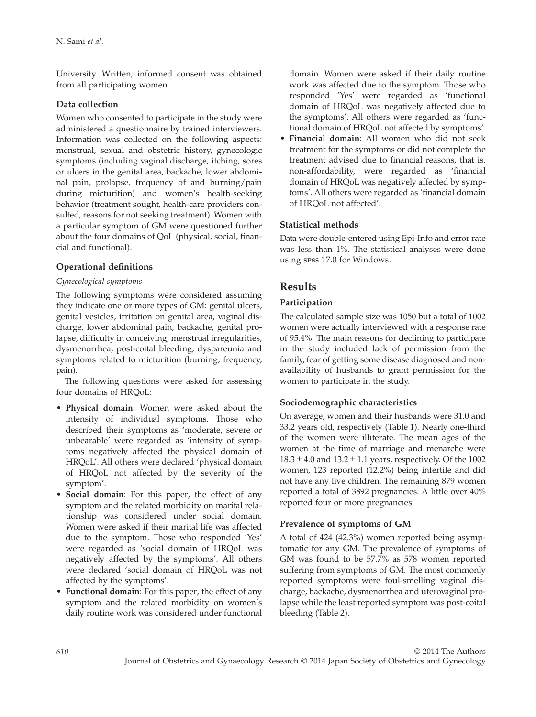University. Written, informed consent was obtained from all participating women.

#### **Data collection**

Women who consented to participate in the study were administered a questionnaire by trained interviewers. Information was collected on the following aspects: menstrual, sexual and obstetric history, gynecologic symptoms (including vaginal discharge, itching, sores or ulcers in the genital area, backache, lower abdominal pain, prolapse, frequency of and burning/pain during micturition) and women's health-seeking behavior (treatment sought, health-care providers consulted, reasons for not seeking treatment). Women with a particular symptom of GM were questioned further about the four domains of QoL (physical, social, financial and functional).

#### **Operational definitions**

#### *Gynecological symptoms*

The following symptoms were considered assuming they indicate one or more types of GM: genital ulcers, genital vesicles, irritation on genital area, vaginal discharge, lower abdominal pain, backache, genital prolapse, difficulty in conceiving, menstrual irregularities, dysmenorrhea, post-coital bleeding, dyspareunia and symptoms related to micturition (burning, frequency, pain).

The following questions were asked for assessing four domains of HRQoL:

- **Physical domain**: Women were asked about the intensity of individual symptoms. Those who described their symptoms as 'moderate, severe or unbearable' were regarded as 'intensity of symptoms negatively affected the physical domain of HRQoL'. All others were declared 'physical domain of HRQoL not affected by the severity of the symptom'.
- **Social domain**: For this paper, the effect of any symptom and the related morbidity on marital relationship was considered under social domain. Women were asked if their marital life was affected due to the symptom. Those who responded 'Yes' were regarded as 'social domain of HRQoL was negatively affected by the symptoms'. All others were declared 'social domain of HRQoL was not affected by the symptoms'.
- **Functional domain**: For this paper, the effect of any symptom and the related morbidity on women's daily routine work was considered under functional

domain. Women were asked if their daily routine work was affected due to the symptom. Those who responded 'Yes' were regarded as 'functional domain of HRQoL was negatively affected due to the symptoms'. All others were regarded as 'functional domain of HRQoL not affected by symptoms'.

• **Financial domain**: All women who did not seek treatment for the symptoms or did not complete the treatment advised due to financial reasons, that is, non-affordability, were regarded as 'financial domain of HRQoL was negatively affected by symptoms'. All others were regarded as 'financial domain of HRQoL not affected'.

#### **Statistical methods**

Data were double-entered using Epi-Info and error rate was less than 1%. The statistical analyses were done using spss 17.0 for Windows.

#### **Results**

#### **Participation**

The calculated sample size was 1050 but a total of 1002 women were actually interviewed with a response rate of 95.4%. The main reasons for declining to participate in the study included lack of permission from the family, fear of getting some disease diagnosed and nonavailability of husbands to grant permission for the women to participate in the study.

#### **Sociodemographic characteristics**

On average, women and their husbands were 31.0 and 33.2 years old, respectively (Table 1). Nearly one-third of the women were illiterate. The mean ages of the women at the time of marriage and menarche were  $18.3 \pm 4.0$  and  $13.2 \pm 1.1$  years, respectively. Of the 1002 women, 123 reported (12.2%) being infertile and did not have any live children. The remaining 879 women reported a total of 3892 pregnancies. A little over 40% reported four or more pregnancies.

#### **Prevalence of symptoms of GM**

A total of 424 (42.3%) women reported being asymptomatic for any GM. The prevalence of symptoms of GM was found to be 57.7% as 578 women reported suffering from symptoms of GM. The most commonly reported symptoms were foul-smelling vaginal discharge, backache, dysmenorrhea and uterovaginal prolapse while the least reported symptom was post-coital bleeding (Table 2).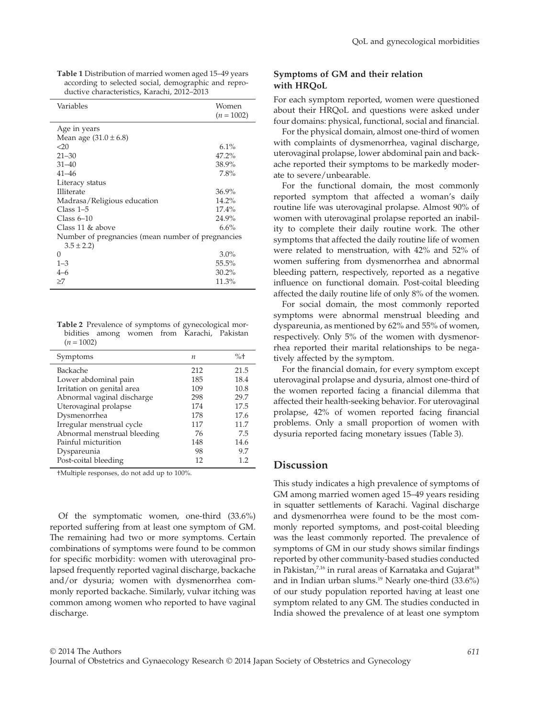**Table 1** Distribution of married women aged 15–49 years according to selected social, demographic and reproductive characteristics, Karachi, 2012–2013

| Variables                                                          | Women        |
|--------------------------------------------------------------------|--------------|
|                                                                    | $(n = 1002)$ |
| Age in years                                                       |              |
| Mean age $(31.0 \pm 6.8)$                                          |              |
| <20                                                                | $6.1\%$      |
| $21 - 30$                                                          | $47.2\%$     |
| $31 - 40$                                                          | 38.9%        |
| $41 - 46$                                                          | 7.8%         |
| Literacy status                                                    |              |
| <b>Illiterate</b>                                                  | 36.9%        |
| Madrasa/Religious education                                        | $14.2\%$     |
| Class 1–5                                                          | $17.4\%$     |
| $Class 6-10$                                                       | 24.9%        |
| Class 11 & above                                                   | 6.6%         |
| Number of pregnancies (mean number of pregnancies<br>$3.5 \pm 2.2$ |              |
| 0                                                                  | $3.0\%$      |
| $1 - 3$                                                            | 55.5%        |
| $4 - 6$                                                            | 30.2%        |
| $\geq$ 7                                                           | 11.3%        |

**Table 2** Prevalence of symptoms of gynecological morbidities among women from Karachi, Pakistan  $(n = 1002)$ 

| Symptoms                    | п   | $\%$ <sup>+</sup> |
|-----------------------------|-----|-------------------|
| Backache                    | 212 | 21.5              |
| Lower abdominal pain        | 185 | 18.4              |
| Irritation on genital area  | 109 | 10.8              |
| Abnormal vaginal discharge  | 298 | 29.7              |
| Uterovaginal prolapse       | 174 | 17.5              |
| Dysmenorrhea                | 178 | 17.6              |
| Irregular menstrual cycle   | 117 | 11.7              |
| Abnormal menstrual bleeding | 76  | 7.5               |
| Painful micturition         | 148 | 14.6              |
| Dyspareunia                 | 98  | 9.7               |
| Post-coital bleeding        | 12  | 12                |

†Multiple responses, do not add up to 100%.

Of the symptomatic women, one-third (33.6%) reported suffering from at least one symptom of GM. The remaining had two or more symptoms. Certain combinations of symptoms were found to be common for specific morbidity: women with uterovaginal prolapsed frequently reported vaginal discharge, backache and/or dysuria; women with dysmenorrhea commonly reported backache. Similarly, vulvar itching was common among women who reported to have vaginal discharge.

#### **Symptoms of GM and their relation with HRQoL**

For each symptom reported, women were questioned about their HRQoL and questions were asked under four domains: physical, functional, social and financial.

For the physical domain, almost one-third of women with complaints of dysmenorrhea, vaginal discharge, uterovaginal prolapse, lower abdominal pain and backache reported their symptoms to be markedly moderate to severe/unbearable.

For the functional domain, the most commonly reported symptom that affected a woman's daily routine life was uterovaginal prolapse. Almost 90% of women with uterovaginal prolapse reported an inability to complete their daily routine work. The other symptoms that affected the daily routine life of women were related to menstruation, with 42% and 52% of women suffering from dysmenorrhea and abnormal bleeding pattern, respectively, reported as a negative influence on functional domain. Post-coital bleeding affected the daily routine life of only 8% of the women.

For social domain, the most commonly reported symptoms were abnormal menstrual bleeding and dyspareunia, as mentioned by 62% and 55% of women, respectively. Only 5% of the women with dysmenorrhea reported their marital relationships to be negatively affected by the symptom.

For the financial domain, for every symptom except uterovaginal prolapse and dysuria, almost one-third of the women reported facing a financial dilemma that affected their health-seeking behavior. For uterovaginal prolapse, 42% of women reported facing financial problems. Only a small proportion of women with dysuria reported facing monetary issues (Table 3).

#### **Discussion**

This study indicates a high prevalence of symptoms of GM among married women aged 15–49 years residing in squatter settlements of Karachi. Vaginal discharge and dysmenorrhea were found to be the most commonly reported symptoms, and post-coital bleeding was the least commonly reported. The prevalence of symptoms of GM in our study shows similar findings reported by other community-based studies conducted in Pakistan, $7.16$  in rural areas of Karnataka and Gujarat<sup>18</sup> and in Indian urban slums. $19$  Nearly one-third (33.6%) of our study population reported having at least one symptom related to any GM. The studies conducted in India showed the prevalence of at least one symptom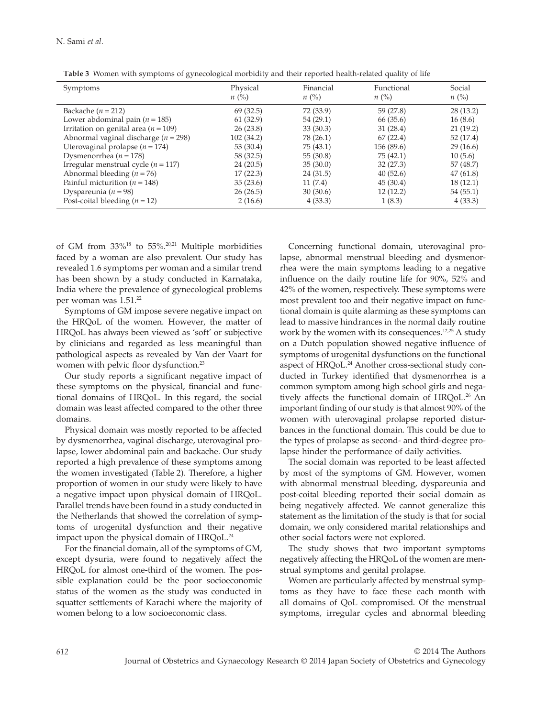| Symptoms                                 | Physical<br>$n\ (\%)$ | Financial<br>$n \ (\%)$ | Functional<br>$n \ (\%)$ | Social<br>$n \ (\%)$ |
|------------------------------------------|-----------------------|-------------------------|--------------------------|----------------------|
| Backache ( $n = 212$ )                   | 69(32.5)              | 72 (33.9)               | 59 (27.8)                | 28(13.2)             |
| Lower abdominal pain ( $n = 185$ )       | 61(32.9)              | 54(29.1)                | 66 (35.6)                | 16(8.6)              |
| Irritation on genital area ( $n = 109$ ) | 26(23.8)              | 33(30.3)                | 31(28.4)                 | 21(19.2)             |
| Abnormal vaginal discharge ( $n = 298$ ) | 102(34.2)             | 78 (26.1)               | 67(22.4)                 | 52 (17.4)            |
| Uterovaginal prolapse ( $n = 174$ )      | 53 (30.4)             | 75 (43.1)               | 156 (89.6)               | 29(16.6)             |
| Dysmenorrhea ( $n = 178$ )               | 58 (32.5)             | 55(30.8)                | 75 (42.1)                | 10(5.6)              |
| Irregular menstrual cycle ( $n = 117$ )  | 24(20.5)              | 35(30.0)                | 32(27.3)                 | 57 (48.7)            |
| Abnormal bleeding ( $n = 76$ )           | 17(22.3)              | 24(31.5)                | 40(52.6)                 | 47(61.8)             |
| Painful micturition ( $n = 148$ )        | 35(23.6)              | 11(7.4)                 | 45(30.4)                 | 18(12.1)             |
| Dyspareunia ( $n = 98$ )                 | 26(26.5)              | 30(30.6)                | 12(12.2)                 | 54 (55.1)            |
| Post-coital bleeding $(n = 12)$          | 2(16.6)               | 4(33.3)                 | 1(8.3)                   | 4(33.3)              |

**Table 3** Women with symptoms of gynecological morbidity and their reported health-related quality of life

of GM from  $33\%$ <sup>18</sup> to  $55\%$ .<sup>20,21</sup> Multiple morbidities faced by a woman are also prevalent. Our study has revealed 1.6 symptoms per woman and a similar trend has been shown by a study conducted in Karnataka, India where the prevalence of gynecological problems per woman was 1.51.<sup>22</sup>

Symptoms of GM impose severe negative impact on the HRQoL of the women. However, the matter of HRQoL has always been viewed as 'soft' or subjective by clinicians and regarded as less meaningful than pathological aspects as revealed by Van der Vaart for women with pelvic floor dysfunction.<sup>23</sup>

Our study reports a significant negative impact of these symptoms on the physical, financial and functional domains of HRQoL. In this regard, the social domain was least affected compared to the other three domains.

Physical domain was mostly reported to be affected by dysmenorrhea, vaginal discharge, uterovaginal prolapse, lower abdominal pain and backache. Our study reported a high prevalence of these symptoms among the women investigated (Table 2). Therefore, a higher proportion of women in our study were likely to have a negative impact upon physical domain of HRQoL. Parallel trends have been found in a study conducted in the Netherlands that showed the correlation of symptoms of urogenital dysfunction and their negative impact upon the physical domain of HRQoL.<sup>24</sup>

For the financial domain, all of the symptoms of GM, except dysuria, were found to negatively affect the HRQoL for almost one-third of the women. The possible explanation could be the poor socioeconomic status of the women as the study was conducted in squatter settlements of Karachi where the majority of women belong to a low socioeconomic class.

Concerning functional domain, uterovaginal prolapse, abnormal menstrual bleeding and dysmenorrhea were the main symptoms leading to a negative influence on the daily routine life for 90%, 52% and 42% of the women, respectively. These symptoms were most prevalent too and their negative impact on functional domain is quite alarming as these symptoms can lead to massive hindrances in the normal daily routine work by the women with its consequences.<sup>12,25</sup> A study on a Dutch population showed negative influence of symptoms of urogenital dysfunctions on the functional aspect of HRQoL.<sup>24</sup> Another cross-sectional study conducted in Turkey identified that dysmenorrhea is a common symptom among high school girls and negatively affects the functional domain of HRQoL.<sup>26</sup> An important finding of our study is that almost 90% of the women with uterovaginal prolapse reported disturbances in the functional domain. This could be due to the types of prolapse as second- and third-degree prolapse hinder the performance of daily activities.

The social domain was reported to be least affected by most of the symptoms of GM. However, women with abnormal menstrual bleeding, dyspareunia and post-coital bleeding reported their social domain as being negatively affected. We cannot generalize this statement as the limitation of the study is that for social domain, we only considered marital relationships and other social factors were not explored.

The study shows that two important symptoms negatively affecting the HRQoL of the women are menstrual symptoms and genital prolapse.

Women are particularly affected by menstrual symptoms as they have to face these each month with all domains of QoL compromised. Of the menstrual symptoms, irregular cycles and abnormal bleeding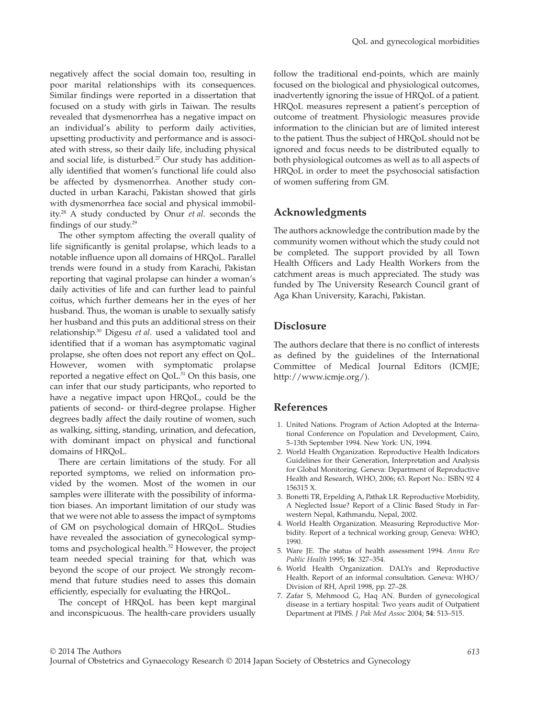negatively affect the social domain too, resulting in poor marital relationships with its consequences. Similar findings were reported in a dissertation that focused on a study with girls in Taiwan. The results revealed that dysmenorrhea has a negative impact on an individual's ability to perform daily activities, upsetting productivity and performance and is associated with stress, so their daily life, including physical and social life, is disturbed. $27$  Our study has additionally identified that women's functional life could also be affected by dysmenorrhea. Another study conducted in urban Karachi, Pakistan showed that girls with dysmenorrhea face social and physical immobility.28 A study conducted by Onur *et al*. seconds the findings of our study.29

The other symptom affecting the overall quality of life significantly is genital prolapse, which leads to a notable influence upon all domains of HRQoL. Parallel trends were found in a study from Karachi, Pakistan reporting that vaginal prolapse can hinder a woman's daily activities of life and can further lead to painful coitus, which further demeans her in the eyes of her husband. Thus, the woman is unable to sexually satisfy her husband and this puts an additional stress on their relationship.30 Digesu *et al*. used a validated tool and identified that if a woman has asymptomatic vaginal prolapse, she often does not report any effect on QoL. However, women with symptomatic prolapse reported a negative effect on QoL.<sup>31</sup> On this basis, one can infer that our study participants, who reported to have a negative impact upon HRQoL, could be the patients of second- or third-degree prolapse. Higher degrees badly affect the daily routine of women, such as walking, sitting, standing, urination, and defecation, with dominant impact on physical and functional domains of HRQoL.

There are certain limitations of the study. For all reported symptoms, we relied on information provided by the women. Most of the women in our samples were illiterate with the possibility of information biases. An important limitation of our study was that we were not able to assess the impact of symptoms of GM on psychological domain of HRQoL. Studies have revealed the association of gynecological symptoms and psychological health.<sup>32</sup> However, the project team needed special training for that, which was beyond the scope of our project. We strongly recommend that future studies need to asses this domain efficiently, especially for evaluating the HRQoL.

The concept of HRQoL has been kept marginal and inconspicuous. The health-care providers usually follow the traditional end-points, which are mainly focused on the biological and physiological outcomes, inadvertently ignoring the issue of HRQoL of a patient. HRQoL measures represent a patient's perception of outcome of treatment. Physiologic measures provide information to the clinician but are of limited interest to the patient. Thus the subject of HRQoL should not be ignored and focus needs to be distributed equally to both physiological outcomes as well as to all aspects of HRQoL in order to meet the psychosocial satisfaction of women suffering from GM.

#### **Acknowledgments**

The authors acknowledge the contribution made by the community women without which the study could not be completed. The support provided by all Town Health Officers and Lady Health Workers from the catchment areas is much appreciated. The study was funded by The University Research Council grant of Aga Khan University, Karachi, Pakistan.

#### **Disclosure**

The authors declare that there is no conflict of interests as defined by the guidelines of the International Committee of Medical Journal Editors (ICMJE; h[ttp://www.icmje.org/\).](http://www.icmje.org/)

#### **References**

- 1. United Nations. Program of Action Adopted at the International Conference on Population and Development, Cairo, 5–13th September 1994. New York: UN, 1994.
- 2. World Health Organization. Reproductive Health Indicators Guidelines for their Generation, Interpretation and Analysis for Global Monitoring. Geneva: Department of Reproductive Health and Research, WHO, 2006; 63. Report No.: ISBN 92 4 156315 X.
- 3. Bonetti TR, Erpelding A, Pathak LR. Reproductive Morbidity, A Neglected Issue? Report of a Clinic Based Study in Farwestern Nepal, Kathmandu, Nepal, 2002.
- 4. World Health Organization. Measuring Reproductive Morbidity. Report of a technical working group, Geneva: WHO, 1990.
- 5. Ware JE. The status of health assessment 1994. *Annu Rev Public Health* 1995; **16**: 327–354.
- 6. World Health Organization. DALYs and Reproductive Health. Report of an informal consultation. Geneva: WHO/ Division of RH, April 1998, pp. 27–28.
- 7. Zafar S, Mehmood G, Haq AN. Burden of gynecological disease in a tertiary hospital: Two years audit of Outpatient Department at PIMS. *J Pak Med Assoc* 2004; **54**: 513–515.